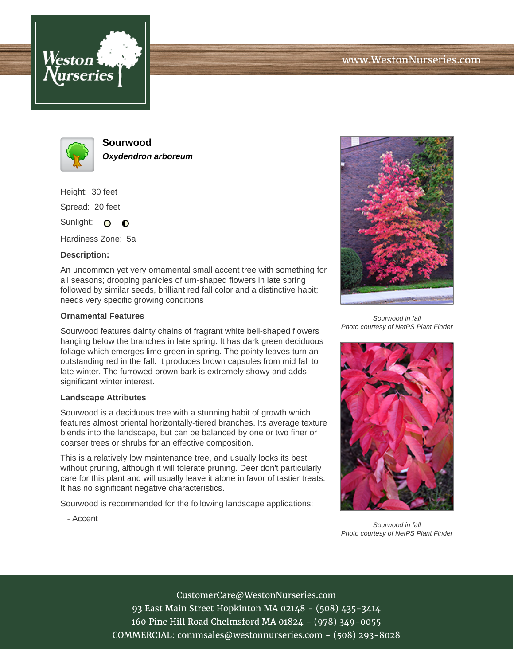



**Sourwood Oxydendron arboreum**

Height: 30 feet Spread: 20 feet Sunlight: O **O** 

Hardiness Zone: 5a

## **Description:**

An uncommon yet very ornamental small accent tree with something for all seasons; drooping panicles of urn-shaped flowers in late spring followed by similar seeds, brilliant red fall color and a distinctive habit; needs very specific growing conditions

## **Ornamental Features**

Sourwood features dainty chains of fragrant white bell-shaped flowers hanging below the branches in late spring. It has dark green deciduous foliage which emerges lime green in spring. The pointy leaves turn an outstanding red in the fall. It produces brown capsules from mid fall to late winter. The furrowed brown bark is extremely showy and adds significant winter interest.

## **Landscape Attributes**

Sourwood is a deciduous tree with a stunning habit of growth which features almost oriental horizontally-tiered branches. Its average texture blends into the landscape, but can be balanced by one or two finer or coarser trees or shrubs for an effective composition.

This is a relatively low maintenance tree, and usually looks its best without pruning, although it will tolerate pruning. Deer don't particularly care for this plant and will usually leave it alone in favor of tastier treats. It has no significant negative characteristics.

Sourwood is recommended for the following landscape applications;

- Accent



Sourwood in fall Photo courtesy of NetPS Plant Finder



Sourwood in fall Photo courtesy of NetPS Plant Finder

CustomerCare@WestonNurseries.com 93 East Main Street Hopkinton MA 02148 - (508) 435-3414 160 Pine Hill Road Chelmsford MA 01824 - (978) 349-0055 COMMERCIAL: commsales@westonnurseries.com - (508) 293-8028